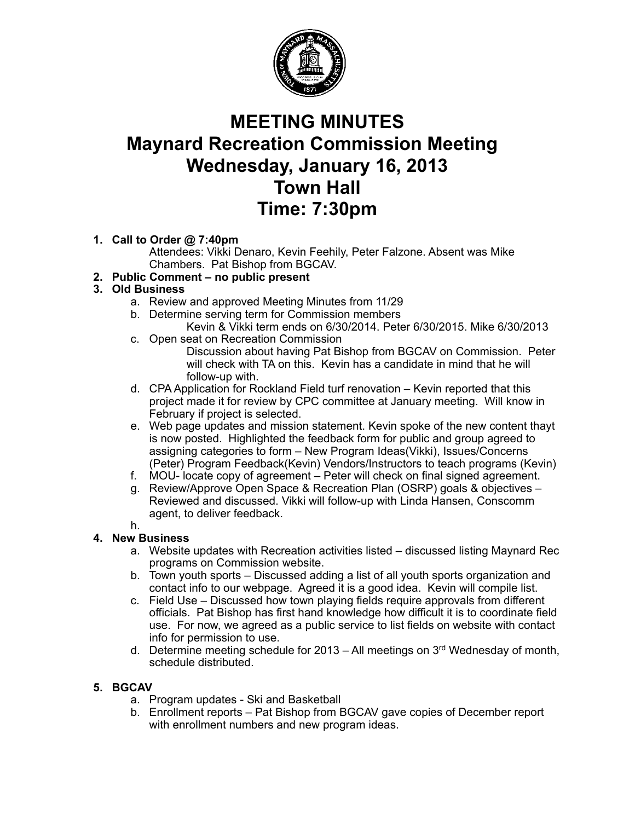

# **MEETING MINUTES Maynard Recreation Commission Meeting Wednesday, January 16, 2013 Town Hall Time: 7:30pm**

## **1. Call to Order @ 7:40pm**

Attendees: Vikki Denaro, Kevin Feehily, Peter Falzone. Absent was Mike Chambers. Pat Bishop from BGCAV.

## **2. Public Comment – no public present**

#### **3. Old Business**

- a. Review and approved Meeting Minutes from 11/29
- b. Determine serving term for Commission members
- Kevin & Vikki term ends on 6/30/2014. Peter 6/30/2015. Mike 6/30/2013 c. Open seat on Recreation Commission
	- Discussion about having Pat Bishop from BGCAV on Commission. Peter will check with TA on this. Kevin has a candidate in mind that he will follow-up with.
- d. CPA Application for Rockland Field turf renovation Kevin reported that this project made it for review by CPC committee at January meeting. Will know in February if project is selected.
- e. Web page updates and mission statement. Kevin spoke of the new content thayt is now posted. Highlighted the feedback form for public and group agreed to assigning categories to form – New Program Ideas(Vikki), Issues/Concerns (Peter) Program Feedback(Kevin) Vendors/Instructors to teach programs (Kevin)
- f. MOU- locate copy of agreement Peter will check on final signed agreement.
- g. Review/Approve Open Space & Recreation Plan (OSRP) goals & objectives Reviewed and discussed. Vikki will follow-up with Linda Hansen, Conscomm agent, to deliver feedback.
- h.

## **4. New Business**

- a. Website updates with Recreation activities listed discussed listing Maynard Rec programs on Commission website.
- b. Town youth sports Discussed adding a list of all youth sports organization and contact info to our webpage. Agreed it is a good idea. Kevin will compile list.
- c. Field Use Discussed how town playing fields require approvals from different officials. Pat Bishop has first hand knowledge how difficult it is to coordinate field use. For now, we agreed as a public service to list fields on website with contact info for permission to use.
- d. Determine meeting schedule for  $2013 Al$  meetings on  $3<sup>rd</sup>$  Wednesday of month, schedule distributed.

## **5. BGCAV**

- a. Program updates Ski and Basketball
- b. Enrollment reports Pat Bishop from BGCAV gave copies of December report with enrollment numbers and new program ideas.